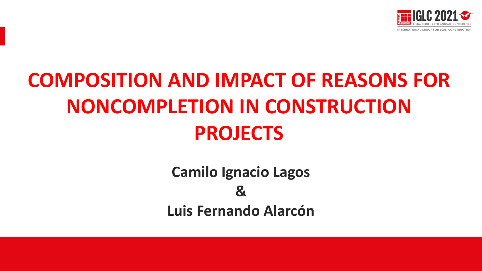

# **COMPOSITION AND IMPACT OF REASONS FOR NONCOMPLETION IN CONSTRUCTION PROJECTS**

**Camilo Ignacio Lagos & Luis Fernando Alarcón**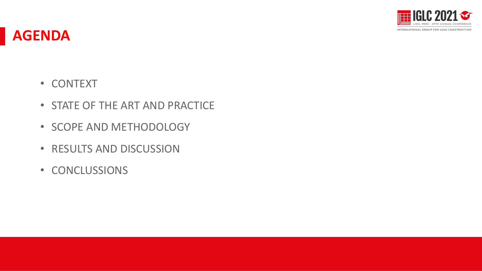

#### **AGENDA**

- CONTEXT
- STATE OF THE ART AND PRACTICE
- SCOPE AND METHODOLOGY
- RESULTS AND DISCUSSION
- CONCLUSSIONS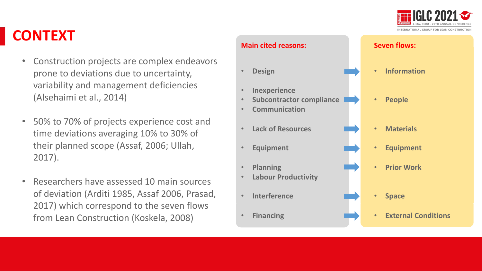

## **CONTEXT**

- Construction projects are complex endeavors prone to deviations due to uncertainty, variability and management deficiencies (Alsehaimi et al., 2014)
- 50% to 70% of projects experience cost and time deviations averaging 10% to 30% of their planned scope (Assaf, 2006; Ullah, 2017).
- Researchers have assessed 10 main sources of deviation (Arditi 1985, Assaf 2006, Prasad, 2017) which correspond to the seven flows from Lean Construction (Koskela, 2008)

#### **Main cited reasons:**

- **Design**
- **Inexperience**
- **Subcontractor compliance**
- **Communication**
- **Lack of Resources**
- **Equipment**
- **Planning**
- **Labour Productivity**
- **Interference**
- **Financing**

#### **Seven flows:**

- **Information**
- **People**
- **Materials**
- **Equipment**
- **Prior Work**
- **Space**
- **External Conditions**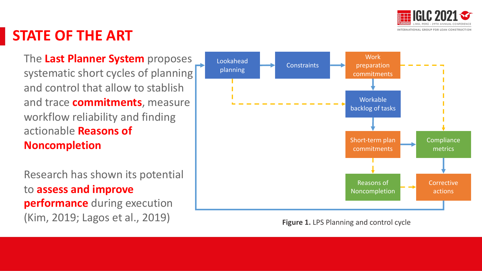

### **STATE OF THE ART**

The **Last Planner System** proposes systematic short cycles of planning and control that allow to stablish and trace **commitments**, measure workflow reliability and finding actionable **Reasons of Noncompletion**

Research has shown its potential to **assess and improve performance** during execution (Kim, 2019; Lagos et al., 2019) **Figure 1.** LPS Planning and control cycle

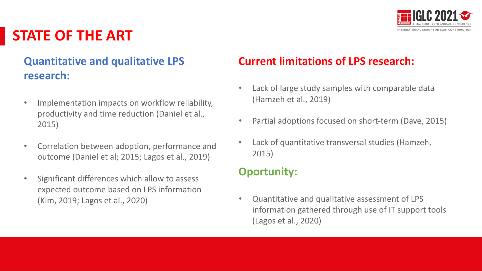

### **STATE OF THE ART**

#### **Quantitative and qualitative LPS research:**

- Implementation impacts on workflow reliability, productivity and time reduction (Daniel et al., 2015)
- Correlation between adoption, performance and outcome (Daniel et al; 2015; Lagos et al., 2019)
- Significant differences which allow to assess expected outcome based on LPS information (Kim, 2019; Lagos et al., 2020)

#### **Current limitations of LPS research:**

- Lack of large study samples with comparable data (Hamzeh et al., 2019)
- Partial adoptions focused on short-term (Dave, 2015)
- Lack of quantitative transversal studies (Hamzeh, 2015)

#### **Oportunity:**

• Quantitative and qualitative assessment of LPS information gathered through use of IT support tools (Lagos et al., 2020)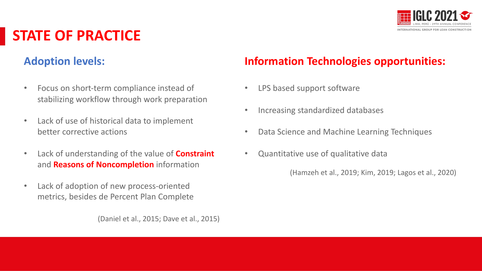

## **STATE OF PRACTICE**

#### **Adoption levels:**

- Focus on short-term compliance instead of stabilizing workflow through work preparation
- Lack of use of historical data to implement better corrective actions
- Lack of understanding of the value of **Constraint** and **Reasons of Noncompletion** information
- Lack of adoption of new process-oriented metrics, besides de Percent Plan Complete

(Daniel et al., 2015; Dave et al., 2015)

#### **Information Technologies opportunities:**

- LPS based support software
- Increasing standardized databases
- Data Science and Machine Learning Techniques
- Quantitative use of qualitative data

(Hamzeh et al., 2019; Kim, 2019; Lagos et al., 2020)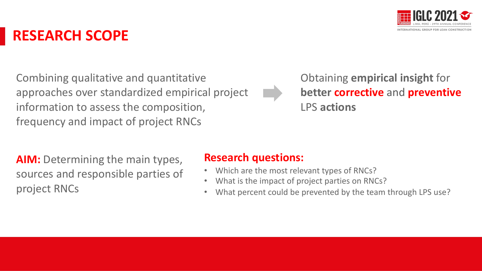

### **RESEARCH SCOPE**

Combining qualitative and quantitative approaches over standardized empirical project information to assess the composition, frequency and impact of project RNCs

Obtaining **empirical insight** for **better corrective** and **preventive** LPS **actions**

**AIM:** Determining the main types, sources and responsible parties of project RNCs

#### **Research questions:**

- Which are the most relevant types of RNCs?
- What is the impact of project parties on RNCs?
- What percent could be prevented by the team through LPS use?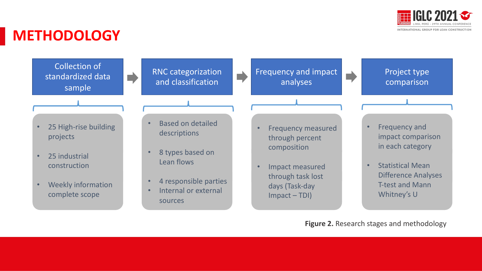

### **METHODOLOGY**



- RNC categorization and classification
- Frequency and impact analyses

Project type comparison

- 25 High-rise building projects
- 25 industrial construction
- Weekly information complete scope
- Based on detailed descriptions
- 8 types based on Lean flows
- 4 responsible parties
- Internal or external sources
- Frequency measured through percent composition
- Impact measured through task lost days (Task-day Impact – TDI)
- Frequency and impact comparison in each category
- Statistical Mean Difference Analyses T-test and Mann Whitney's U

**Figure 2.** Research stages and methodology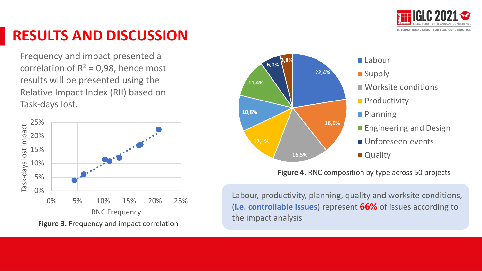

Frequency and impact presented a correlation of  $R^2 = 0.98$ , hence most results will be presented using the Relative Impact Index (RII) based on Task-days lost.



**Figure 3.** Frequency and impact correlation



**Figure 4.** RNC composition by type across 50 projects

Labour, productivity, planning, quality and worksite conditions, (**i.e. controllable issues**) represent **66%** of issues according to the impact analysis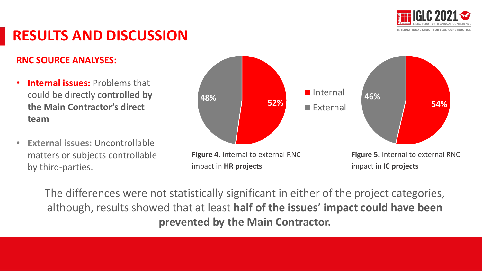

#### **RNC SOURCE ANALYSES:**

- **Internal issues:** Problems that could be directly **controlled by the Main Contractor's direct team**
- **External issues:** Uncontrollable matters or subjects controllable by third-parties.



The differences were not statistically significant in either of the project categories, although, results showed that at least **half of the issues' impact could have been prevented by the Main Contractor.**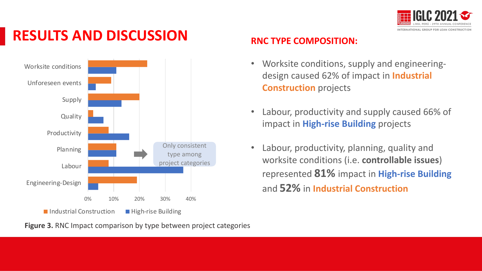



**Figure 3.** RNC Impact comparison by type between project categories

#### **RNC TYPE COMPOSITION:**

- Worksite conditions, supply and engineeringdesign caused 62% of impact in **Industrial Construction** projects
- Labour, productivity and supply caused 66% of impact in **High-rise Building** projects
- Labour, productivity, planning, quality and worksite conditions (i.e. **controllable issues**) represented **81%** impact in **High-rise Building**  and **52%** in **Industrial Construction**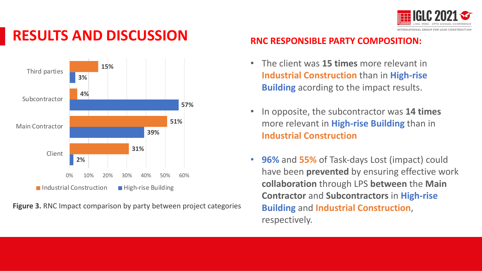



**Figure 3.** RNC Impact comparison by party between project categories

#### **RNC RESPONSIBLE PARTY COMPOSITION:**

- The client was **15 times** more relevant in **Industrial Construction** than in **High-rise Building** acording to the impact results.
- In opposite, the subcontractor was **14 times**  more relevant in **High-rise Building** than in **Industrial Construction**
- **96%** and **55%** of Task-days Lost (impact) could have been **prevented** by ensuring effective work **collaboration** through LPS **between** the **Main Contractor** and **Subcontractors** in **High-rise Building** and **Industrial Construction**, respectively.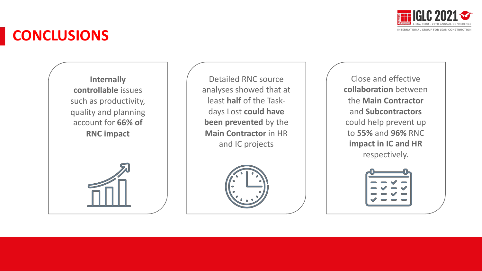

### **CONCLUSIONS**

**Internally controllable** issues such as productivity, quality and planning account for **66% of RNC impact**

Detailed RNC source analyses showed that at least **half** of the Taskdays Lost **could have been prevented** by the **Main Contractor** in HR and IC projects



Close and effective **collaboration** between the **Main Contractor**  and **Subcontractors** could help prevent up to **55%** and **96%** RNC **impact in IC and HR** respectively.